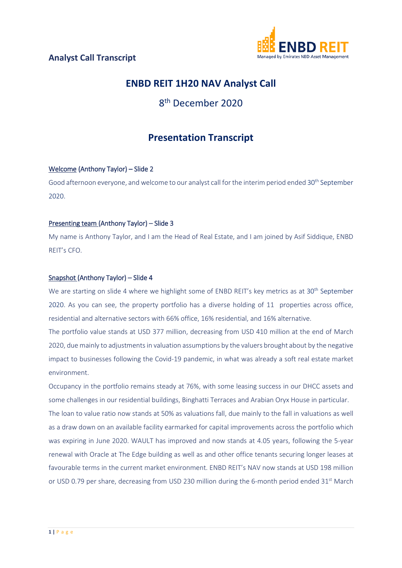

# **ENBD REIT 1H20 NAV Analyst Call**

# 8th December 2020

# **Presentation Transcript**

## Welcome (Anthony Taylor) – Slide 2

Good afternoon everyone, and welcome to our analyst call for the interim period ended 30<sup>th</sup> September 2020.

### Presenting team (Anthony Taylor) – Slide 3

My name is Anthony Taylor, and I am the Head of Real Estate, and I am joined by Asif Siddique, ENBD REIT's CFO.

### Snapshot (Anthony Taylor) – Slide 4

We are starting on slide 4 where we highlight some of ENBD REIT's key metrics as at 30<sup>th</sup> September 2020. As you can see, the property portfolio has a diverse holding of 11 properties across office, residential and alternative sectors with 66% office, 16% residential, and 16% alternative.

The portfolio value stands at USD 377 million, decreasing from USD 410 million at the end of March 2020, due mainly to adjustments in valuation assumptions by the valuers brought about by the negative impact to businesses following the Covid-19 pandemic, in what was already a soft real estate market environment.

Occupancy in the portfolio remains steady at 76%, with some leasing success in our DHCC assets and some challenges in our residential buildings, Binghatti Terraces and Arabian Oryx House in particular. The loan to value ratio now stands at 50% as valuations fall, due mainly to the fall in valuations as well as a draw down on an available facility earmarked for capital improvements across the portfolio which was expiring in June 2020. WAULT has improved and now stands at 4.05 years, following the 5-year renewal with Oracle at The Edge building as well as and other office tenants securing longer leases at favourable terms in the current market environment. ENBD REIT's NAV now stands at USD 198 million or USD 0.79 per share, decreasing from USD 230 million during the 6-month period ended 31<sup>st</sup> March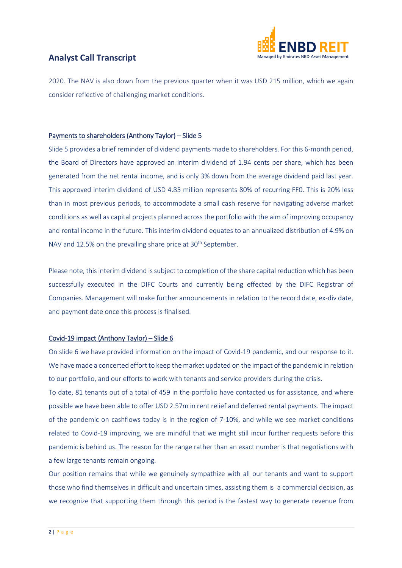

2020. The NAV is also down from the previous quarter when it was USD 215 million, which we again consider reflective of challenging market conditions.

### Payments to shareholders (Anthony Taylor) – Slide 5

Slide 5 provides a brief reminder of dividend payments made to shareholders. For this 6-month period, the Board of Directors have approved an interim dividend of 1.94 cents per share, which has been generated from the net rental income, and is only 3% down from the average dividend paid last year. This approved interim dividend of USD 4.85 million represents 80% of recurring FF0. This is 20% less than in most previous periods, to accommodate a small cash reserve for navigating adverse market conditions as well as capital projects planned across the portfolio with the aim of improving occupancy and rental income in the future. This interim dividend equates to an annualized distribution of 4.9% on NAV and 12.5% on the prevailing share price at 30<sup>th</sup> September.

Please note, this interim dividend is subject to completion of the share capital reduction which has been successfully executed in the DIFC Courts and currently being effected by the DIFC Registrar of Companies. Management will make further announcements in relation to the record date, ex-div date, and payment date once this process is finalised.

#### Covid-19 impact (Anthony Taylor) – Slide 6

On slide 6 we have provided information on the impact of Covid-19 pandemic, and our response to it. We have made a concerted effort to keep the market updated on the impact of the pandemic in relation to our portfolio, and our efforts to work with tenants and service providers during the crisis.

To date, 81 tenants out of a total of 459 in the portfolio have contacted us for assistance, and where possible we have been able to offer USD 2.57m in rent relief and deferred rental payments. The impact of the pandemic on cashflows today is in the region of 7-10%, and while we see market conditions related to Covid-19 improving, we are mindful that we might still incur further requests before this pandemic is behind us. The reason for the range rather than an exact number is that negotiations with a few large tenants remain ongoing.

Our position remains that while we genuinely sympathize with all our tenants and want to support those who find themselves in difficult and uncertain times, assisting them is a commercial decision, as we recognize that supporting them through this period is the fastest way to generate revenue from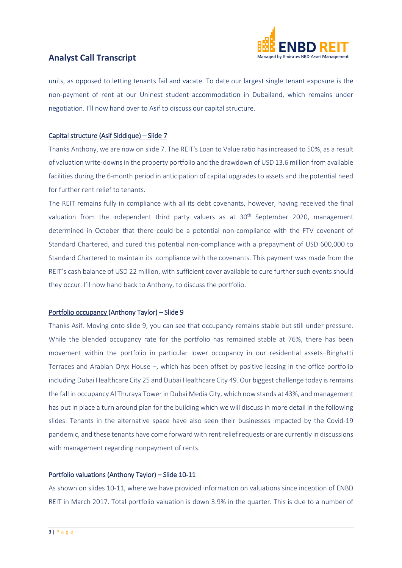

units, as opposed to letting tenants fail and vacate. To date our largest single tenant exposure is the non-payment of rent at our Uninest student accommodation in Dubailand, which remains under negotiation. I'll now hand over to Asif to discuss our capital structure.

### Capital structure (Asif Siddique) – Slide 7

Thanks Anthony, we are now on slide 7. The REIT's Loan to Value ratio has increased to 50%, as a result of valuation write-downs in the property portfolio and the drawdown of USD 13.6 million from available facilities during the 6-month period in anticipation of capital upgrades to assets and the potential need for further rent relief to tenants.

The REIT remains fully in compliance with all its debt covenants, however, having received the final valuation from the independent third party valuers as at 30<sup>th</sup> September 2020, management determined in October that there could be a potential non-compliance with the FTV covenant of Standard Chartered, and cured this potential non-compliance with a prepayment of USD 600,000 to Standard Chartered to maintain its compliance with the covenants. This payment was made from the REIT's cash balance of USD 22 million, with sufficient cover available to cure further such events should they occur. I'll now hand back to Anthony, to discuss the portfolio.

#### Portfolio occupancy (Anthony Taylor) – Slide 9

Thanks Asif. Moving onto slide 9, you can see that occupancy remains stable but still under pressure. While the blended occupancy rate for the portfolio has remained stable at 76%, there has been movement within the portfolio in particular lower occupancy in our residential assets–Binghatti Terraces and Arabian Oryx House –, which has been offset by positive leasing in the office portfolio including Dubai Healthcare City 25 and Dubai Healthcare City 49. Our biggest challenge today is remains the fall in occupancy Al Thuraya Tower in Dubai Media City, which now stands at 43%, and management has put in place a turn around plan for the building which we will discuss in more detail in the following slides. Tenants in the alternative space have also seen their businesses impacted by the Covid-19 pandemic, and these tenants have come forward with rent relief requests or are currently in discussions with management regarding nonpayment of rents.

#### Portfolio valuations (Anthony Taylor) – Slide 10-11

As shown on slides 10-11, where we have provided information on valuations since inception of ENBD REIT in March 2017. Total portfolio valuation is down 3.9% in the quarter. This is due to a number of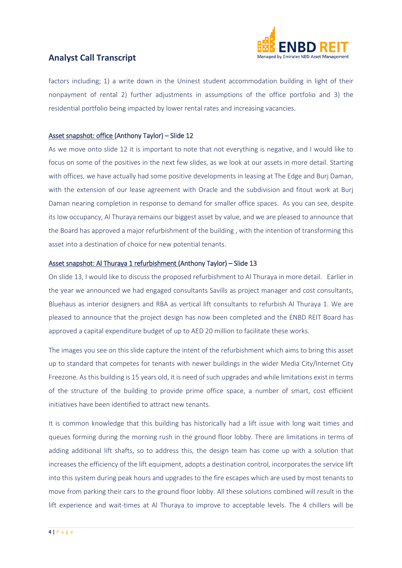

factors including; 1) a write down in the Uninest student accommodation building in light of their nonpayment of rental 2) further adjustments in assumptions of the office portfolio and 3) the residential portfolio being impacted by lower rental rates and increasing vacancies.

### Asset snapshot: office (Anthony Taylor) – Slide 12

As we move onto slide 12 it is important to note that not everything is negative, and I would like to focus on some of the positives in the next few slides, as we look at our assets in more detail. Starting with offices, we have actually had some positive developments in leasing at The Edge and Burj Daman, with the extension of our lease agreement with Oracle and the subdivision and fitout work at Burj Daman nearing completion in response to demand for smaller office spaces. As you can see, despite its low occupancy, Al Thuraya remains our biggest asset by value, and we are pleased to announce that the Board has approved a major refurbishment of the building , with the intention of transforming this asset into a destination of choice for new potential tenants.

#### Asset snapshot: Al Thuraya 1 refurbishment (Anthony Taylor) – Slide 13

On slide 13, I would like to discuss the proposed refurbishment to Al Thuraya in more detail. Earlier in the year we announced we had engaged consultants Savills as project manager and cost consultants, Bluehaus as interior designers and RBA as vertical lift consultants to refurbish Al Thuraya 1. We are pleased to announce that the project design has now been completed and the ENBD REIT Board has approved a capital expenditure budget of up to AED 20 million to facilitate these works.

The images you see on this slide capture the intent of the refurbishment which aims to bring this asset up to standard that competes for tenants with newer buildings in the wider Media City/Internet City Freezone. As this building is 15 years old, it is need of such upgrades and while limitations exist in terms of the structure of the building to provide prime office space, a number of smart, cost efficient initiatives have been identified to attract new tenants.

It is common knowledge that this building has historically had a lift issue with long wait times and queues forming during the morning rush in the ground floor lobby. There are limitations in terms of adding additional lift shafts, so to address this, the design team has come up with a solution that increases the efficiency of the lift equipment, adopts a destination control, incorporates the service lift into this system during peak hours and upgrades to the fire escapes which are used by most tenants to move from parking their cars to the ground floor lobby. All these solutions combined will result in the lift experience and wait-times at Al Thuraya to improve to acceptable levels. The 4 chillers will be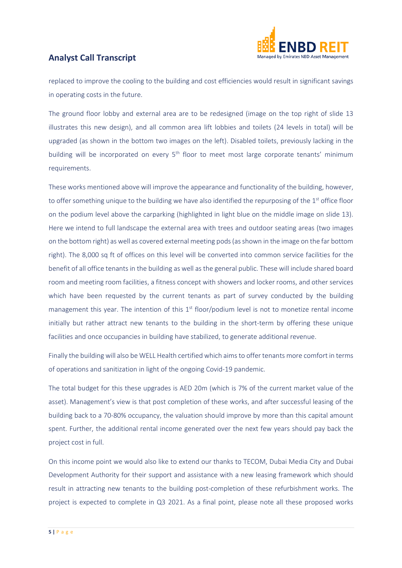

replaced to improve the cooling to the building and cost efficiencies would result in significant savings in operating costs in the future.

The ground floor lobby and external area are to be redesigned (image on the top right of slide 13 illustrates this new design), and all common area lift lobbies and toilets (24 levels in total) will be upgraded (as shown in the bottom two images on the left). Disabled toilets, previously lacking in the building will be incorporated on every 5<sup>th</sup> floor to meet most large corporate tenants' minimum requirements.

These works mentioned above will improve the appearance and functionality of the building, however, to offer something unique to the building we have also identified the repurposing of the  $1<sup>st</sup>$  office floor on the podium level above the carparking (highlighted in light blue on the middle image on slide 13). Here we intend to full landscape the external area with trees and outdoor seating areas (two images on the bottom right) as well as covered external meeting pods (as shown in the image on the far bottom right). The 8,000 sq ft of offices on this level will be converted into common service facilities for the benefit of all office tenants in the building as well as the general public. These will include shared board room and meeting room facilities, a fitness concept with showers and locker rooms, and other services which have been requested by the current tenants as part of survey conducted by the building management this year. The intention of this  $1<sup>st</sup>$  floor/podium level is not to monetize rental income initially but rather attract new tenants to the building in the short-term by offering these unique facilities and once occupancies in building have stabilized, to generate additional revenue.

Finally the building will also be WELL Health certified which aims to offer tenants more comfort in terms of operations and sanitization in light of the ongoing Covid-19 pandemic.

The total budget for this these upgrades is AED 20m (which is 7% of the current market value of the asset). Management's view is that post completion of these works, and after successful leasing of the building back to a 70-80% occupancy, the valuation should improve by more than this capital amount spent. Further, the additional rental income generated over the next few years should pay back the project cost in full.

On this income point we would also like to extend our thanks to TECOM, Dubai Media City and Dubai Development Authority for their support and assistance with a new leasing framework which should result in attracting new tenants to the building post-completion of these refurbishment works. The project is expected to complete in Q3 2021. As a final point, please note all these proposed works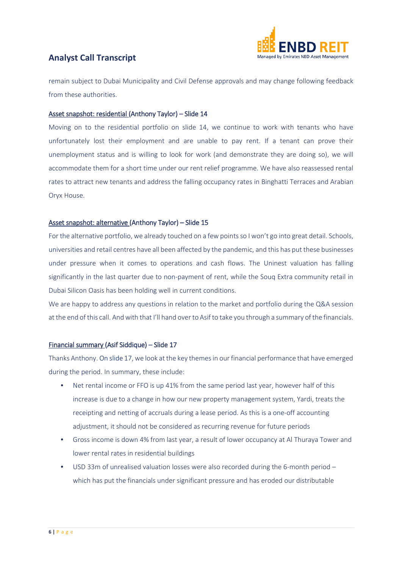

remain subject to Dubai Municipality and Civil Defense approvals and may change following feedback from these authorities.

#### Asset snapshot: residential (Anthony Taylor) – Slide 14

Moving on to the residential portfolio on slide 14, we continue to work with tenants who have unfortunately lost their employment and are unable to pay rent. If a tenant can prove their unemployment status and is willing to look for work (and demonstrate they are doing so), we will accommodate them for a short time under our rent relief programme. We have also reassessed rental rates to attract new tenants and address the falling occupancy rates in Binghatti Terraces and Arabian Oryx House.

### Asset snapshot: alternative (Anthony Taylor) – Slide 15

For the alternative portfolio, we already touched on a few points so I won't go into great detail. Schools, universities and retail centres have all been affected by the pandemic, and this has put these businesses under pressure when it comes to operations and cash flows. The Uninest valuation has falling significantly in the last quarter due to non-payment of rent, while the Souq Extra community retail in Dubai Silicon Oasis has been holding well in current conditions.

We are happy to address any questions in relation to the market and portfolio during the Q&A session at the end of this call. And with that I'll hand over to Asif to take you through a summary of the financials.

## Financial summary (Asif Siddique) – Slide 17

Thanks Anthony. On slide 17, we look at the key themes in ourfinancial performance that have emerged during the period. In summary, these include:

- Net rental income or FFO is up 41% from the same period last year, however half of this increase is due to a change in how our new property management system, Yardi, treats the receipting and netting of accruals during a lease period. As this is a one-off accounting adjustment, it should not be considered as recurring revenue for future periods
- Gross income is down 4% from last year, a result of lower occupancy at Al Thuraya Tower and lower rental rates in residential buildings
- USD 33m of unrealised valuation losses were also recorded during the 6-month period which has put the financials under significant pressure and has eroded our distributable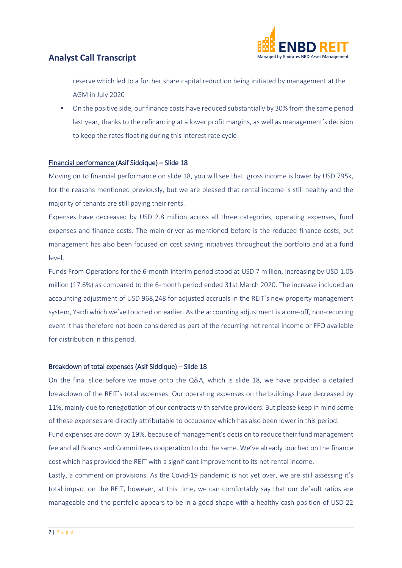

reserve which led to a further share capital reduction being initiated by management at the AGM in July 2020

• On the positive side, our finance costs have reduced substantially by 30% from the same period last year, thanks to the refinancing at a lower profit margins, as well as management's decision to keep the rates floating during this interest rate cycle

### Financial performance (Asif Siddique) – Slide 18

Moving on to financial performance on slide 18, you will see that gross income is lower by USD 795k, for the reasons mentioned previously, but we are pleased that rental income is still healthy and the majority of tenants are still paying their rents.

Expenses have decreased by USD 2.8 million across all three categories, operating expenses, fund expenses and finance costs. The main driver as mentioned before is the reduced finance costs, but management has also been focused on cost saving initiatives throughout the portfolio and at a fund level.

Funds From Operations for the 6-month interim period stood at USD 7 million, increasing by USD 1.05 million (17.6%) as compared to the 6-month period ended 31st March 2020. The increase included an accounting adjustment of USD 968,248 for adjusted accruals in the REIT's new property management system, Yardi which we've touched on earlier. As the accounting adjustment is a one-off, non-recurring event it has therefore not been considered as part of the recurring net rental income or FFO available for distribution in this period.

#### Breakdown of total expenses (Asif Siddique) – Slide 18

On the final slide before we move onto the Q&A, which is slide 18, we have provided a detailed breakdown of the REIT's total expenses. Our operating expenses on the buildings have decreased by 11%, mainly due to renegotiation of our contracts with service providers. But please keep in mind some of these expenses are directly attributable to occupancy which has also been lower in this period.

Fund expenses are down by 19%, because of management's decision to reduce their fund management fee and all Boards and Committees cooperation to do the same. We've already touched on the finance cost which has provided the REIT with a significant improvement to its net rental income.

Lastly, a comment on provisions. As the Covid-19 pandemic is not yet over, we are still assessing it's total impact on the REIT, however, at this time, we can comfortably say that our default ratios are manageable and the portfolio appears to be in a good shape with a healthy cash position of USD 22